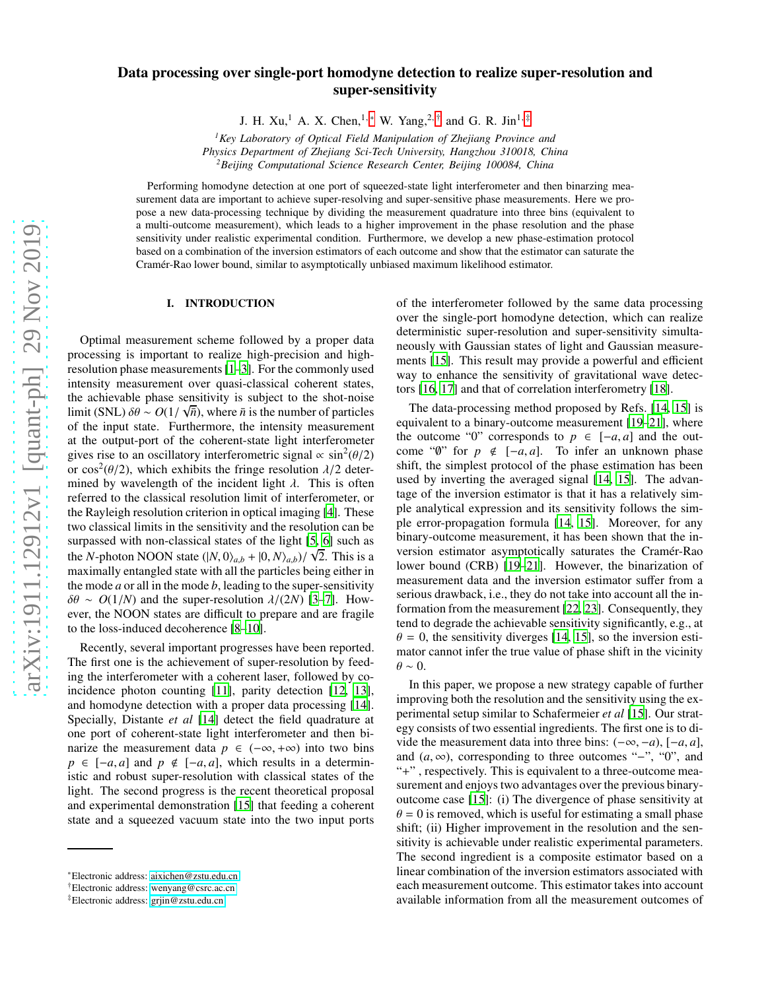# Data processing over single-port homodyne detection to realize super-resolution and super-sensitivity

J. H. Xu,<sup>1</sup> A. X. Chen,<sup>1,\*</sup> W. Yang,<sup>2,[†](#page-0-1)</sup> and G. R. Jin<sup>1,[‡](#page-0-2)</sup>

*<sup>1</sup>Key Laboratory of Optical Field Manipulation of Zhejiang Province and Physics Department of Zhejiang Sci-Tech University, Hangzhou 310018, China <sup>2</sup>Beijing Computational Science Research Center, Beijing 100084, China*

Performing homodyne detection at one port of squeezed-state light interferometer and then binarzing measurement data are important to achieve super-resolving and super-sensitive phase measurements. Here we propose a new data-processing technique by dividing the measurement quadrature into three bins (equivalent to a multi-outcome measurement), which leads to a higher improvement in the phase resolution and the phase sensitivity under realistic experimental condition. Furthermore, we develop a new phase-estimation protocol based on a combination of the inversion estimators of each outcome and show that the estimator can saturate the Cramér-Rao lower bound, similar to asymptotically unbiased maximum likelihood estimator.

# I. INTRODUCTION

Optimal measurement scheme followed by a proper data processing is important to realize high-precision and highresolution phase measurements [\[1](#page-5-0)[–3\]](#page-5-1). For the commonly used intensity measurement over quasi-classical coherent states, the achievable phase sensitivity is subject to the shot-noise limit (SNL)  $\delta\theta \sim O(1/\sqrt{n})$ , where  $\bar{n}$  is the number of particles of the input state. Furthermore, the intensity measurement at the output-port of the coherent-state light interferometer gives rise to an oscillatory interferometric signal  $\propto \sin^2(\theta/2)$ or  $\cos^2(\theta/2)$ , which exhibits the fringe resolution  $\lambda/2$  determined by wavelength of the incident light  $\lambda$ . This is often referred to the classical resolution limit of interferometer, or the Rayleigh resolution criterion in optical imaging [\[4\]](#page-5-2). These two classical limits in the sensitivity and the resolution can be surpassed with non-classical states of the light [\[5,](#page-5-3) [6](#page-5-4)] such as the *N*-photon NOON state  $(|N, 0\rangle_{a,b} + |0, N\rangle_{a,b})/\sqrt{2}$ . This is a maximally entangled state with all the particles being either in the mode *a* or all in the mode *b*, leading to the super-sensitivity  $\delta\theta \sim O(1/N)$  and the super-resolution  $\lambda/(2N)$  [\[3](#page-5-1)[–7\]](#page-5-5). However, the NOON states are difficult to prepare and are fragile to the loss-induced decoherence [\[8](#page-6-0)[–10](#page-6-1)].

Recently, several important progresses have been reported. The first one is the achievement of super-resolution by feeding the interferometer with a coherent laser, followed by coincidence photon counting [\[11\]](#page-6-2), parity detection [\[12](#page-6-3), [13](#page-6-4)], and homodyne detection with a proper data processing [\[14](#page-6-5)]. Specially, Distante *et al* [\[14\]](#page-6-5) detect the field quadrature at one port of coherent-state light interferometer and then binarize the measurement data  $p \in (-\infty, +\infty)$  into two bins  $p \in [-a, a]$  and  $p \notin [-a, a]$ , which results in a deterministic and robust super-resolution with classical states of the light. The second progress is the recent theoretical proposal and experimental demonstration [\[15\]](#page-6-6) that feeding a coherent state and a squeezed vacuum state into the two input ports

of the interferometer followed by the same data processing over the single-port homodyne detection, which can realize deterministic super-resolution and super-sensitivity simultaneously with Gaussian states of light and Gaussian measurements [\[15](#page-6-6)]. This result may provide a powerful and efficient way to enhance the sensitivity of gravitational wave detectors [\[16,](#page-6-7) [17\]](#page-6-8) and that of correlation interferometry [\[18\]](#page-6-9).

The data-processing method proposed by Refs. [\[14,](#page-6-5) [15](#page-6-6)] is equivalent to a binary-outcome measurement [\[19](#page-6-10)[–21\]](#page-6-11), where the outcome "0" corresponds to  $p \in [-a, a]$  and the outcome " $\emptyset$ " for  $p \notin [-a, a]$ . To infer an unknown phase shift, the simplest protocol of the phase estimation has been used by inverting the averaged signal [\[14,](#page-6-5) [15\]](#page-6-6). The advantage of the inversion estimator is that it has a relatively simple analytical expression and its sensitivity follows the simple error-propagation formula [\[14](#page-6-5), [15\]](#page-6-6). Moreover, for any binary-outcome measurement, it has been shown that the inversion estimator asymptotically saturates the Cramér-Rao lower bound (CRB) [\[19](#page-6-10)[–21\]](#page-6-11). However, the binarization of measurement data and the inversion estimator suffer from a serious drawback, i.e., they do not take into account all the information from the measurement [\[22,](#page-6-12) [23\]](#page-6-13). Consequently, they tend to degrade the achievable sensitivity significantly, e.g., at  $\theta = 0$ , the sensitivity diverges [\[14](#page-6-5), [15\]](#page-6-6), so the inversion estimator cannot infer the true value of phase shift in the vicinity  $\theta \sim 0.$ 

In this paper, we propose a new strategy capable of further improving both the resolution and the sensitivity using the experimental setup similar to Schafermeier *et al* [\[15\]](#page-6-6). Our strategy consists of two essential ingredients. The first one is to divide the measurement data into three bins: (−∞, −*a*), [−*a*, *a*], and  $(a, \infty)$ , corresponding to three outcomes "−", "0", and "+" , respectively. This is equivalent to a three-outcome measurement and enjoys two advantages over the previous binaryoutcome case [\[15\]](#page-6-6): (i) The divergence of phase sensitivity at  $\theta = 0$  is removed, which is useful for estimating a small phase shift; (ii) Higher improvement in the resolution and the sensitivity is achievable under realistic experimental parameters. The second ingredient is a composite estimator based on a linear combination of the inversion estimators associated with each measurement outcome. This estimator takes into account available information from all the measurement outcomes of

<span id="page-0-0"></span><sup>∗</sup>Electronic address: [aixichen@zstu.edu.cn](mailto:aixichen@zstu.edu.cn)

<span id="page-0-1"></span><sup>†</sup>Electronic address: [wenyang@csrc.ac.cn](mailto:wenyang@csrc.ac.cn)

<span id="page-0-2"></span><sup>‡</sup>Electronic address: [grjin@zstu.edu.cn](mailto:grjin@zstu.edu.cn)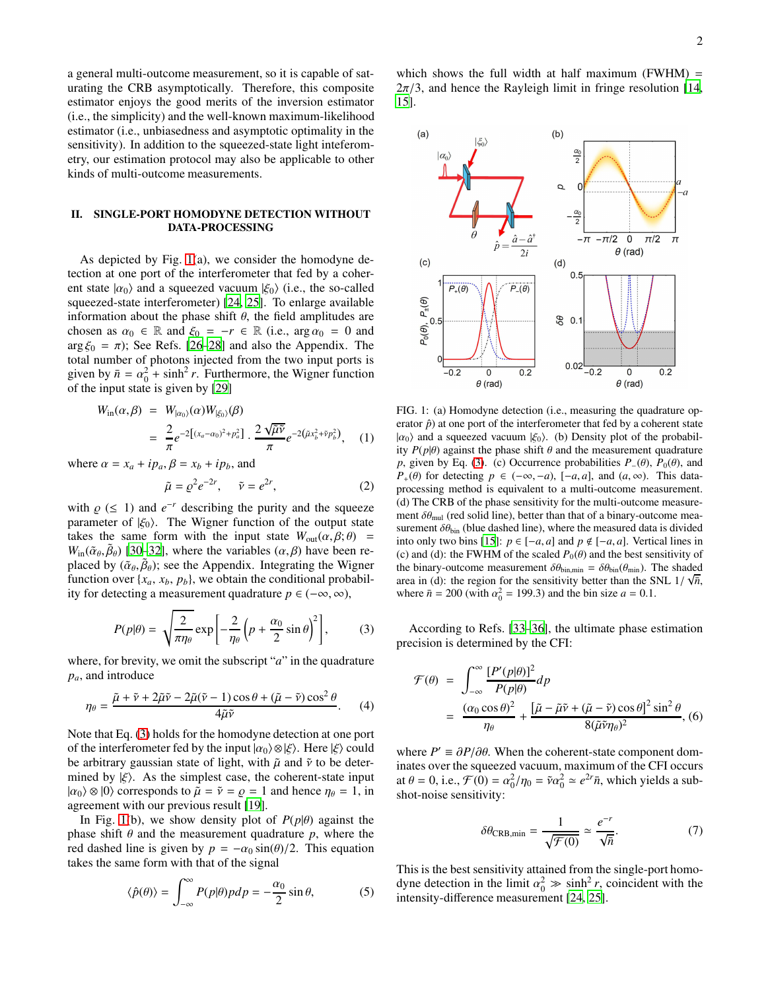a general multi-outcome measurement, so it is capable of saturating the CRB asymptotically. Therefore, this composite estimator enjoys the good merits of the inversion estimator (i.e., the simplicity) and the well-known maximum-likelihood estimator (i.e., unbiasedness and asymptotic optimality in the sensitivity). In addition to the squeezed-state light inteferometry, our estimation protocol may also be applicable to other kinds of multi-outcome measurements.

# II. SINGLE-PORT HOMODYNE DETECTION WITHOUT DATA-PROCESSING

As depicted by Fig. [1\(](#page-1-0)a), we consider the homodyne detection at one port of the interferometer that fed by a coherent state  $|\alpha_0\rangle$  and a squeezed vacuum  $|\xi_0\rangle$  (i.e., the so-called squeezed-state interferometer) [\[24,](#page-6-14) [25](#page-6-15)]. To enlarge available information about the phase shift  $\theta$ , the field amplitudes are chosen as  $\alpha_0 \in \mathbb{R}$  and  $\xi_0 = -r \in \mathbb{R}$  (i.e.,  $\arg \alpha_0 = 0$  and  $\arg \xi_0 = \pi$ ); See Refs. [\[26](#page-6-16)[–28\]](#page-6-17) and also the Appendix. The total number of photons injected from the two input ports is given by  $\bar{n} = \alpha_0^2 + \sinh^2 r$ . Furthermore, the Wigner function of the input state is given by [\[29](#page-6-18)]

$$
W_{\rm in}(\alpha,\beta) = W_{|\alpha_0\rangle}(\alpha)W_{|\xi_0\rangle}(\beta)
$$
  
= 
$$
\frac{2}{\pi}e^{-2[(x_a-\alpha_0)^2 + p_a^2]} \cdot \frac{2\sqrt{\tilde{\mu}\tilde{\nu}}}{\pi}e^{-2(\tilde{\mu}x_b^2 + \tilde{\nu}p_b^2)},
$$
 (1)

where  $\alpha = x_a + ip_a$ ,  $\beta = x_b + ip_b$ , and

$$
\tilde{\mu} = \varrho^2 e^{-2r}, \qquad \tilde{\nu} = e^{2r}, \tag{2}
$$

with  $\rho$  (≤ 1) and  $e^{-r}$  describing the purity and the squeeze parameter of  $|\xi_0\rangle$ . The Wigner function of the output state takes the same form with the input state  $W_{out}(\alpha, \beta; \theta)$  =  $W_{\text{in}}(\tilde{\alpha}_{\theta}, \tilde{\beta}_{\theta})$  [\[30](#page-6-19)[–32\]](#page-6-20), where the variables  $(\alpha, \beta)$  have been replaced by  $(\tilde{\alpha}_{\theta}, \tilde{\beta}_{\theta})$ ; see the Appendix. Integrating the Wigner function over  $\{x_a, x_b, p_b\}$ , we obtain the conditional probability for detecting a measurement quadrature  $p \in (-\infty, \infty)$ ,

<span id="page-1-1"></span>
$$
P(p|\theta) = \sqrt{\frac{2}{\pi \eta_{\theta}}} \exp\left[-\frac{2}{\eta_{\theta}}\left(p + \frac{\alpha_0}{2}\sin\theta\right)^2\right],\tag{3}
$$

where, for brevity, we omit the subscript "*a*" in the quadrature *pa*, and introduce

<span id="page-1-2"></span>
$$
\eta_{\theta} = \frac{\tilde{\mu} + \tilde{\nu} + 2\tilde{\mu}\tilde{\nu} - 2\tilde{\mu}(\tilde{\nu} - 1)\cos\theta + (\tilde{\mu} - \tilde{\nu})\cos^2\theta}{4\tilde{\mu}\tilde{\nu}}.\tag{4}
$$

Note that Eq. [\(3\)](#page-1-1) holds for the homodyne detection at one port of the interferometer fed by the input  $|\alpha_0\rangle \otimes |\xi\rangle$ . Here  $|\xi\rangle$  could be arbitrary gaussian state of light, with  $\tilde{\mu}$  and  $\tilde{\nu}$  to be determined by  $|\xi\rangle$ . As the simplest case, the coherent-state input  $|\alpha_0\rangle \otimes |0\rangle$  corresponds to  $\tilde{\mu} = \tilde{\nu} = \rho = 1$  and hence  $\eta_{\theta} = 1$ , in agreement with our previous result [\[19\]](#page-6-10).

In Fig. [1\(](#page-1-0)b), we show density plot of  $P(p|\theta)$  against the phase shift  $\theta$  and the measurement quadrature  $p$ , where the red dashed line is given by  $p = -\alpha_0 \sin(\theta)/2$ . This equation takes the same form with that of the signal

$$
\langle \hat{p}(\theta) \rangle = \int_{-\infty}^{\infty} P(p|\theta) p dp = -\frac{\alpha_0}{2} \sin \theta,\tag{5}
$$

which shows the full width at half maximum (FWHM)  $=$  $2\pi/3$ , and hence the Rayleigh limit in fringe resolution [\[14,](#page-6-5) [15\]](#page-6-6).



<span id="page-1-0"></span>FIG. 1: (a) Homodyne detection (i.e., measuring the quadrature operator  $\hat{p}$ ) at one port of the interferometer that fed by a coherent state  $|\alpha_0\rangle$  and a squeezed vacuum  $|\xi_0\rangle$ . (b) Density plot of the probability  $P(p|\theta)$  against the phase shift  $\theta$  and the measurement quadrature *p*, given by Eq. [\(3\)](#page-1-1). (c) Occurrence probabilities  $P_-(\theta)$ ,  $P_0(\theta)$ , and *P*<sub>+</sub>( $\theta$ ) for detecting *p* ∈ (−∞,−*a*), [−*a*, *a*], and (*a*, ∞). This dataprocessing method is equivalent to a multi-outcome measurement. (d) The CRB of the phase sensitivity for the multi-outcome measurement  $\delta\theta_{\rm mul}$  (red solid line), better than that of a binary-outcome measurement  $\delta\theta_{\text{bin}}$  (blue dashed line), where the measured data is divided into only two bins [\[15](#page-6-6)]:  $p \in [-a, a]$  and  $p \notin [-a, a]$ . Vertical lines in (c) and (d): the FWHM of the scaled  $P_0(\theta)$  and the best sensitivity of the binary-outcome measurement  $\delta\theta_{\text{bin,min}} = \delta\theta_{\text{bin}}(\theta_{\text{min}})$ . The shaded area in (d): the region for the sensitivity better than the SNL  $1/\sqrt{\overline{n}}$ , where  $\bar{n} = 200$  (with  $\alpha_0^2 = 199.3$ ) and the bin size  $a = 0.1$ .

According to Refs. [\[33](#page-6-21)[–36\]](#page-6-22), the ultimate phase estimation precision is determined by the CFI:

$$
\mathcal{F}(\theta) = \int_{-\infty}^{\infty} \frac{[P'(p|\theta)]^2}{P(p|\theta)} dp
$$
  
= 
$$
\frac{(\alpha_0 \cos \theta)^2}{\eta_{\theta}} + \frac{[\tilde{\mu} - \tilde{\mu}\tilde{\nu} + (\tilde{\mu} - \tilde{\nu}) \cos \theta]^2 \sin^2 \theta}{8(\tilde{\mu}\tilde{\nu}\eta_{\theta})^2},
$$
(6)

where  $P' \equiv \partial P / \partial \theta$ . When the coherent-state component dominates over the squeezed vacuum, maximum of the CFI occurs at  $\theta = 0$ , i.e.,  $\mathcal{F}(0) = \alpha_0^2/\eta_0 = \tilde{\nu}\alpha_0^2 \approx e^{2r}\bar{n}$ , which yields a subshot-noise sensitivity:

<span id="page-1-3"></span>
$$
\delta\theta_{\text{CRB,min}} = \frac{1}{\sqrt{\mathcal{F}(0)}} \simeq \frac{e^{-r}}{\sqrt{\bar{n}}}. \tag{7}
$$

This is the best sensitivity attained from the single-port homodyne detection in the limit  $\alpha_0^2 \gg \sinh^2 r$ , coincident with the intensity-difference measurement [\[24,](#page-6-14) [25\]](#page-6-15).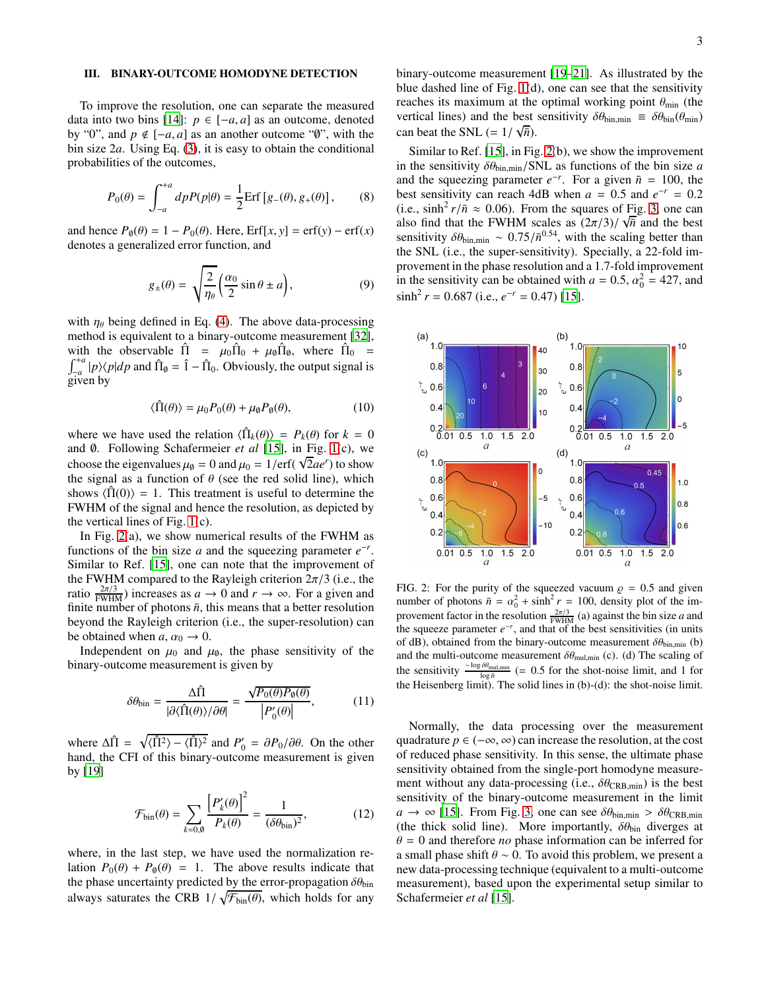## III. BINARY-OUTCOME HOMODYNE DETECTION

To improve the resolution, one can separate the measured data into two bins [\[14\]](#page-6-5):  $p \in [-a, a]$  as an outcome, denoted by "0", and  $p \notin [-a, a]$  as an another outcome " $\emptyset$ ", with the bin size 2*a*. Using Eq. [\(3\)](#page-1-1), it is easy to obtain the conditional probabilities of the outcomes,

$$
P_0(\theta) = \int_{-a}^{+a} dp P(p|\theta) = \frac{1}{2} \text{Erf} [g_{-}(\theta), g_{+}(\theta)], \quad (8)
$$

and hence  $P_{\theta}(\theta) = 1 - P_0(\theta)$ . Here, Erf[*x*, *y*] = erf(*y*) – erf(*x*) denotes a generalized error function, and

<span id="page-2-1"></span>
$$
g_{\pm}(\theta) = \sqrt{\frac{2}{\eta_{\theta}}} \left( \frac{\alpha_0}{2} \sin \theta \pm a \right), \tag{9}
$$

with  $\eta_\theta$  being defined in Eq. [\(4\)](#page-1-2). The above data-processing method is equivalent to a binary-outcome measurement [\[32](#page-6-20)], with the observable  $\hat{\Pi} = \mu_0 \hat{\Pi}_0 + \mu_0 \hat{\Pi}_0$ , where  $\hat{\Pi}_0 =$  $\int_{-a}^{+a} |p\rangle\langle p|dp$  and  $\hat{\Pi}_0 = \hat{1} - \hat{\Pi}_0$ . Obviously, the output signal is J<sub>-a</sub> P<sup>/V</sup><br>given by

$$
\langle \hat{\Pi}(\theta) \rangle = \mu_0 P_0(\theta) + \mu_0 P_0(\theta), \tag{10}
$$

where we have used the relation  $\langle \hat{\Pi}_k(\theta) \rangle = P_k(\theta)$  for  $k = 0$ and ∅. Following Schafermeier *et al* [\[15\]](#page-6-6), in Fig. [1\(](#page-1-0)c), we choose the eigenvalues  $\mu_0 = 0$  and  $\mu_0 = 1/\text{erf}(\sqrt{2}ae^r)$  to show the signal as a function of  $\theta$  (see the red solid line), which shows  $\langle \hat{\Pi}(0) \rangle = 1$ . This treatment is useful to determine the FWHM of the signal and hence the resolution, as depicted by the vertical lines of Fig. [1\(](#page-1-0)c).

In Fig.  $2(a)$ , we show numerical results of the FWHM as functions of the bin size *a* and the squeezing parameter  $e^{-r}$ . Similar to Ref. [\[15\]](#page-6-6), one can note that the improvement of the FWHM compared to the Rayleigh criterion  $2\pi/3$  (i.e., the ratio  $\frac{2\pi/3}{FWHM}$ ) increases as  $a \to 0$  and  $r \to \infty$ . For a given and finite number of photons  $\bar{n}$ , this means that a better resolution beyond the Rayleigh criterion (i.e., the super-resolution) can be obtained when  $a, \alpha_0 \rightarrow 0$ .

Independent on  $\mu_0$  and  $\mu_\emptyset$ , the phase sensitivity of the binary-outcome measurement is given by

$$
\delta\theta_{\text{bin}} = \frac{\Delta\hat{\Pi}}{|\partial\langle\hat{\Pi}(\theta)\rangle/\partial\theta|} = \frac{\sqrt{P_0(\theta)P_\theta(\theta)}}{|P'_0(\theta)|},\tag{11}
$$

where  $\Delta \hat{\Pi} = \sqrt{\langle \hat{\Pi}^2 \rangle - \langle \hat{\Pi} \rangle^2}$  and  $P'_0 = \frac{\partial P_0}{\partial \theta}$ . On the other hand, the CFI of this binary-outcome measurement is given by [\[19\]](#page-6-10)

$$
\mathcal{F}_{\text{bin}}(\theta) = \sum_{k=0,\theta} \frac{\left[P'_k(\theta)\right]^2}{P_k(\theta)} = \frac{1}{(\delta \theta_{\text{bin}})^2},\tag{12}
$$

where, in the last step, we have used the normalization relation  $P_0(\theta) + P_{\theta}(\theta) = 1$ . The above results indicate that the phase uncertainty predicted by the error-propagation  $\delta\theta_{\text{bin}}$ always saturates the CRB  $1/\sqrt{\mathcal{F}_{bin}(\theta)}$ , which holds for any

binary-outcome measurement [\[19](#page-6-10)[–21](#page-6-11)]. As illustrated by the blue dashed line of Fig. [1\(](#page-1-0)d), one can see that the sensitivity reaches its maximum at the optimal working point  $\theta_{\text{min}}$  (the vertical lines) and the best sensitivity  $\delta\theta_{\text{bin,min}} \equiv \delta\theta_{\text{bin}}(\theta_{\text{min}})$ can beat the SNL  $(= 1/\sqrt{\bar{n}})$ .

Similar to Ref. [\[15\]](#page-6-6), in Fig. [2\(](#page-2-0)b), we show the improvement in the sensitivity  $\delta\theta_{\text{bin,min}}$ /SNL as functions of the bin size *a* and the squeezing parameter  $e^{-r}$ . For a given  $\bar{n} = 100$ , the best sensitivity can reach 4dB when  $a = 0.5$  and  $e^{-r} = 0.2$ (i.e.,  $\sinh^2 r/\bar{n} \approx 0.06$ ). From the squares of Fig. [3,](#page-4-0) one can also find that the FWHM scales as  $(2\pi/3)/\sqrt{\hbar}$  and the best sensitivity  $\delta\theta_{\text{bin,min}} \sim 0.75/\bar{n}^{0.54}$ , with the scaling better than the SNL (i.e., the super-sensitivity). Specially, a 22-fold improvement in the phase resolution and a 1.7-fold improvement in the sensitivity can be obtained with  $a = 0.5$ ,  $\alpha_0^2 = 427$ , and  $\sinh^2 r = 0.687$  (i.e.,  $e^{-r} = 0.47$ ) [\[15](#page-6-6)].



<span id="page-2-0"></span>FIG. 2: For the purity of the squeezed vacuum  $\rho = 0.5$  and given number of photons  $\bar{n} = \alpha_0^2 + \sinh^2 r = 100$ , density plot of the improvement factor in the resolution  $\frac{2\pi/3}{FWHM}$  (a) against the bin size *a* and the squeeze parameter  $e^{-r}$ , and that of the best sensitivities (in units of dB), obtained from the binary-outcome measurement  $\delta\theta_{\text{bin,min}}$  (b) and the multi-outcome measurement  $\delta\theta_{\text{mul,min}}$  (c). (d) The scaling of the sensitivity  $\frac{-\log \delta \theta_{\text{mul,min}}}{\log \bar{n}}$  (= 0.5 for the shot-noise limit, and 1 for the Heisenberg limit). The solid lines in (b)-(d): the shot-noise limit.

Normally, the data processing over the measurement quadrature  $p \in (-\infty, \infty)$  can increase the resolution, at the cost of reduced phase sensitivity. In this sense, the ultimate phase sensitivity obtained from the single-port homodyne measurement without any data-processing (i.e.,  $\delta\theta_{\text{CRB,min}}$ ) is the best sensitivity of the binary-outcome measurement in the limit  $a \rightarrow \infty$  [\[15\]](#page-6-6). From Fig. [3,](#page-4-0) one can see  $\delta\theta_{\text{bin,min}} > \delta\theta_{\text{CRB,min}}$ (the thick solid line). More importantly,  $\delta\theta_{\text{bin}}$  diverges at  $\theta = 0$  and therefore *no* phase information can be inferred for a small phase shift  $\theta \sim 0$ . To avoid this problem, we present a new data-processing technique (equivalent to a multi-outcome measurement), based upon the experimental setup similar to Schafermeier *et al* [\[15\]](#page-6-6).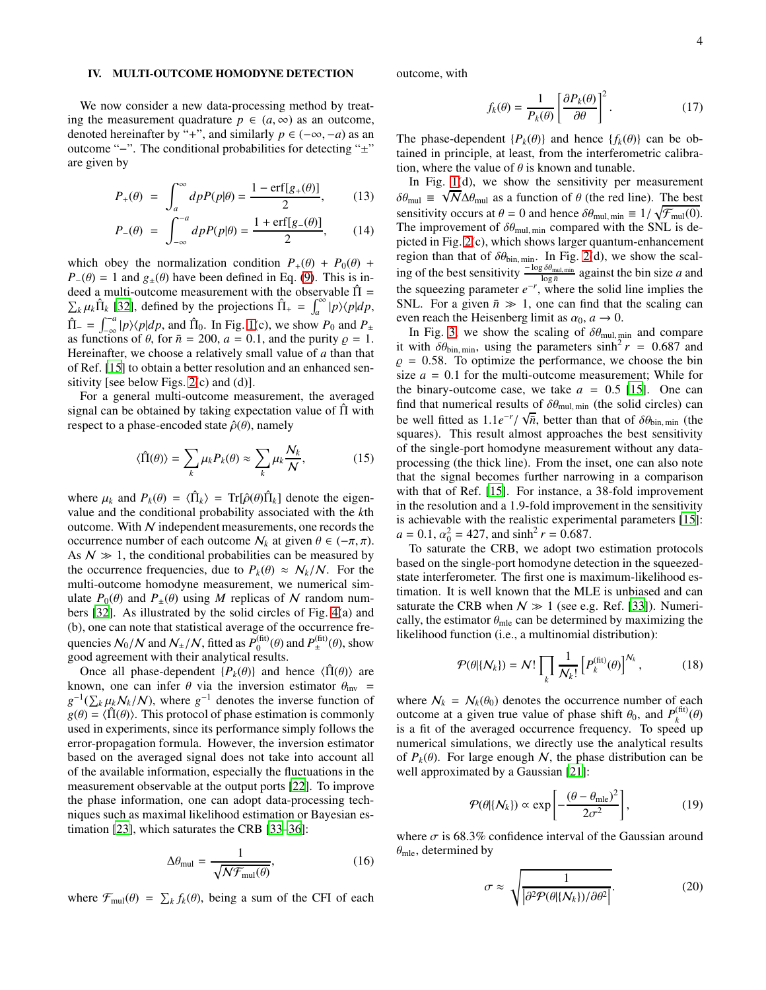### IV. MULTI-OUTCOME HOMODYNE DETECTION

We now consider a new data-processing method by treating the measurement quadrature  $p \in (a, \infty)$  as an outcome, denoted hereinafter by "+", and similarly  $p \in (-\infty, -a)$  as an outcome "−". The conditional probabilities for detecting "±" are given by

$$
P_{+}(\theta) = \int_{a}^{\infty} dp P(p|\theta) = \frac{1 - \text{erf}[g_{+}(\theta)]}{2},
$$
 (13)

$$
P_{-}(\theta) = \int_{-\infty}^{-a} dp P(p|\theta) = \frac{1 + \text{erf}[g_{-}(\theta)]}{2}, \quad (14)
$$

which obey the normalization condition  $P_+(\theta) + P_0(\theta) + P_0(\theta)$  $P_-(\theta) = 1$  and  $g_+(\theta)$  have been defined in Eq. [\(9\)](#page-2-1). This is indeed a multi-outcome measurement with the observable  $\hat{\Pi} =$  $\sum_{k} \mu_{k} \hat{\Pi}_{k}$  [\[32\]](#page-6-20), defined by the projections  $\hat{\Pi}_{+} = \int_{a}^{\infty} |p\rangle\langle p|dp$ ,  $\hat{\Pi}_{-} = \int_{-\infty}^{-a} |p\rangle\langle p|dp$ , and  $\hat{\Pi}_{0}$ . In Fig. [1\(](#page-1-0)c), we show  $P_0$  and  $P_{\pm}$ as functions of  $\theta$ , for  $\bar{n} = 200$ ,  $a = 0.1$ , and the purity  $\rho = 1$ . Hereinafter, we choose a relatively small value of *a* than that of Ref. [\[15](#page-6-6)] to obtain a better resolution and an enhanced sensitivity [see below Figs.  $2(c)$  and  $(d)$ ].

For a general multi-outcome measurement, the averaged signal can be obtained by taking expectation value of  $\hat{\Pi}$  with respect to a phase-encoded state  $\hat{\rho}(\theta)$ , namely

<span id="page-3-1"></span>
$$
\langle \hat{\Pi}(\theta) \rangle = \sum_{k} \mu_k P_k(\theta) \approx \sum_{k} \mu_k \frac{N_k}{N}, \qquad (15)
$$

where  $\mu_k$  and  $P_k(\theta) = \langle \hat{\Pi}_k \rangle = \text{Tr}[\hat{\rho}(\theta) \hat{\Pi}_k]$  denote the eigenvalue and the conditional probability associated with the *k*th outcome. With N independent measurements, one records the occurrence number of each outcome  $N_k$  at given  $\theta \in (-\pi, \pi)$ . As  $N \gg 1$ , the conditional probabilities can be measured by the occurrence frequencies, due to  $P_k(\theta) \approx N_k/N$ . For the multi-outcome homodyne measurement, we numerical simulate  $P_0(\theta)$  and  $P_{\pm}(\theta)$  using *M* replicas of *N* random numbers [\[32](#page-6-20)]. As illustrated by the solid circles of Fig. [4\(](#page-4-1)a) and (b), one can note that statistical average of the occurrence frequencies  $\mathcal{N}_0/\mathcal{N}$  and  $\mathcal{N}_\pm/\mathcal{N}$ , fitted as  $P_0^{\text{(fit)}}$  $p_{\pm}^{\text{(fit)}}(\theta)$  and  $P_{\pm}^{\text{(fit)}}$  $\mathcal{L}^{(III)}_{\pm}(\theta)$ , show good agreement with their analytical results.

Once all phase-dependent  ${P_k(\theta)}$  and hence  $\langle \hat{\Pi}(\theta) \rangle$  are known, one can infer  $\theta$  via the inversion estimator  $\theta_{\text{inv}}$  =  $g^{-1}(\sum_{k} \mu_{k}N_{k}/N)$ , where  $g^{-1}$  denotes the inverse function of  $g(\theta) = \langle \hat{\Pi}(\theta) \rangle$ . This protocol of phase estimation is commonly used in experiments, since its performance simply follows the error-propagation formula. However, the inversion estimator based on the averaged signal does not take into account all of the available information, especially the fluctuations in the measurement observable at the output ports [\[22\]](#page-6-12). To improve the phase information, one can adopt data-processing techniques such as maximal likelihood estimation or Bayesian estimation [\[23\]](#page-6-13), which saturates the CRB [\[33](#page-6-21)[–36\]](#page-6-22):

$$
\Delta \theta_{\text{mul}} = \frac{1}{\sqrt{\mathcal{N} \mathcal{F}_{\text{mul}}(\theta)}},\tag{16}
$$

where  $\mathcal{F}_{\text{mul}}(\theta) = \sum_{k} f_k(\theta)$ , being a sum of the CFI of each

outcome, with

<span id="page-3-0"></span>
$$
f_k(\theta) = \frac{1}{P_k(\theta)} \left[ \frac{\partial P_k(\theta)}{\partial \theta} \right]^2.
$$
 (17)

The phase-dependent  ${P_k(\theta)}$  and hence  ${f_k(\theta)}$  can be obtained in principle, at least, from the interferometric calibration, where the value of  $\theta$  is known and tunable.

In Fig.  $1(d)$ , we show the sensitivity per measurement  $\delta\theta_{\text{mul}} \equiv \sqrt{N} \Delta\theta_{\text{mul}}$  as a function of  $\theta$  (the red line). The best sensitivity occurs at  $\theta = 0$  and hence  $\delta \theta_{\text{mul, min}} \equiv 1/\sqrt{\mathcal{F}_{\text{mul}}(0)}$ . The improvement of  $\delta\theta_{\text{mul, min}}$  compared with the SNL is depicted in Fig. [2\(](#page-2-0)c), which shows larger quantum-enhancement region than that of  $\delta\theta_{\text{bin,min}}$ . In Fig. [2\(](#page-2-0)d), we show the scaling of the best sensitivity  $\frac{-\log \delta \theta_{\text{mul,min}}}{\log \bar{n}}$  against the bin size *a* and the squeezing parameter  $e^{-r}$ , where the solid line implies the SNL. For a given  $\bar{n} \gg 1$ , one can find that the scaling can even reach the Heisenberg limit as  $\alpha_0$ ,  $a \to 0$ .

In Fig. [3,](#page-4-0) we show the scaling of  $\delta\theta_{\text{mul,min}}$  and compare it with  $\delta\theta_{\text{bin,min}}$ , using the parameters  $\sinh^2 r = 0.687$  and  $\rho = 0.58$ . To optimize the performance, we choose the bin size  $a = 0.1$  for the multi-outcome measurement; While for the binary-outcome case, we take  $a = 0.5$  [\[15\]](#page-6-6). One can find that numerical results of  $\delta\theta_{\text{mul, min}}$  (the solid circles) can be well fitted as  $1.1e^{-r}/\sqrt{\overline{n}}$ , better than that of  $\delta\theta_{\text{bin,min}}$  (the squares). This result almost approaches the best sensitivity of the single-port homodyne measurement without any dataprocessing (the thick line). From the inset, one can also note that the signal becomes further narrowing in a comparison with that of Ref. [\[15\]](#page-6-6). For instance, a 38-fold improvement in the resolution and a 1.9-fold improvement in the sensitivity is achievable with the realistic experimental parameters [\[15\]](#page-6-6):  $a = 0.1, \alpha_0^2 = 427$ , and  $\sinh^2 r = 0.687$ .

To saturate the CRB, we adopt two estimation protocols based on the single-port homodyne detection in the squeezedstate interferometer. The first one is maximum-likelihood estimation. It is well known that the MLE is unbiased and can saturate the CRB when  $N \gg 1$  (see e.g. Ref. [\[33\]](#page-6-21)). Numerically, the estimator  $\theta_{\rm mle}$  can be determined by maximizing the likelihood function (i.e., a multinomial distribution):

$$
\mathcal{P}(\theta|\{\mathcal{N}_k\}) = \mathcal{N}! \prod_k \frac{1}{\mathcal{N}_k!} \left[ P_k^{(\text{fit})}(\theta) \right]^{\mathcal{N}_k}, \tag{18}
$$

where  $N_k = N_k(\theta_0)$  denotes the occurrence number of each outcome at a given true value of phase shift  $\theta_0$ , and  $P_k^{\text{(fit)}}$  $\binom{(\text{III})}{k}$ <sup>(θ)</sup> is a fit of the averaged occurrence frequency. To speed up numerical simulations, we directly use the analytical results of  $P_k(\theta)$ . For large enough N, the phase distribution can be well approximated by a Gaussian [\[21\]](#page-6-11):

$$
\mathcal{P}(\theta|\{N_k\}) \propto \exp\left[-\frac{(\theta - \theta_{\rm mle})^2}{2\sigma^2}\right],\tag{19}
$$

where  $\sigma$  is 68.3% confidence interval of the Gaussian around  $\theta_{\rm mle}$ , determined by

$$
\sigma \approx \sqrt{\frac{1}{|\partial^2 \mathcal{P}(\theta|\{N_k\})/\partial \theta^2|}}.\tag{20}
$$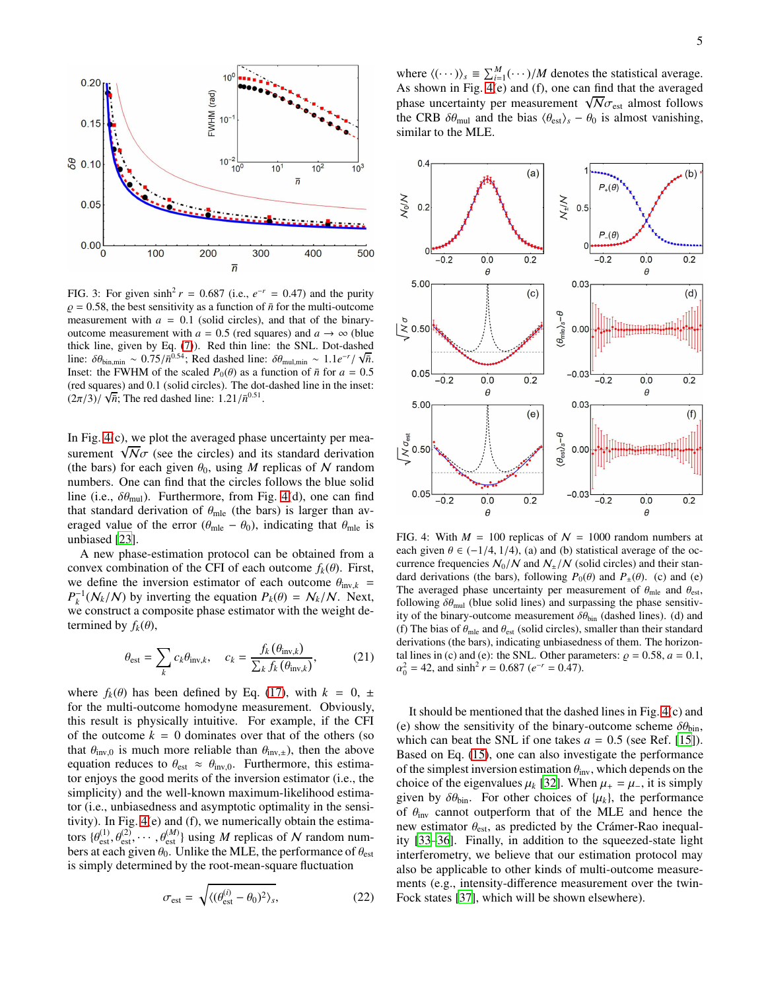

<span id="page-4-0"></span>FIG. 3: For given  $\sinh^2 r = 0.687$  (i.e.,  $e^{-r} = 0.47$ ) and the purity  $\rho = 0.58$ , the best sensitivity as a function of  $\bar{n}$  for the multi-outcome measurement with  $a = 0.1$  (solid circles), and that of the binaryoutcome measurement with  $a = 0.5$  (red squares) and  $a \rightarrow \infty$  (blue thick line, given by Eq. [\(7\)](#page-1-3)). Red thin line: the SNL. Dot-dashed line:  $\delta\theta_{\text{bin,min}} \sim 0.75/\bar{n}^{0.54}$ ; Red dashed line:  $\delta\theta_{\text{mul,min}} \sim 1.1e^{-r}/\sqrt{\bar{n}}$ . Inset: the FWHM of the scaled  $P_0(\theta)$  as a function of  $\bar{n}$  for  $a = 0.5$ (red squares) and 0.1 (solid circles). The dot-dashed line in the inset:  $\frac{(\cos \theta + \cos \theta)}{\sqrt{n}}$ ; The red dashed line:  $1.21/\bar{n}^{0.51}$ .

In Fig. [4\(](#page-4-1)c), we plot the averaged phase uncertainty per measurement  $\sqrt{N}\sigma$  (see the circles) and its standard derivation (the bars) for each given  $\theta_0$ , using *M* replicas of *N* random numbers. One can find that the circles follows the blue solid line (i.e.,  $\delta\theta_{\rm mul}$ ). Furthermore, from Fig. [4\(](#page-4-1)d), one can find that standard derivation of  $\theta_{\text{mle}}$  (the bars) is larger than averaged value of the error ( $\theta_{\text{mle}} - \theta_0$ ), indicating that  $\theta_{\text{mle}}$  is unbiased [\[23](#page-6-13)].

A new phase-estimation protocol can be obtained from a convex combination of the CFI of each outcome  $f_k(\theta)$ . First, we define the inversion estimator of each outcome  $\theta_{\text{inv},k}$  =  $P_k^{-1}(N_k/N)$  by inverting the equation  $P_k(\theta) = N_k/N$ . Next, we construct a composite phase estimator with the weight determined by  $f_k(\theta)$ ,

$$
\theta_{\rm est} = \sum_{k} c_k \theta_{\rm inv,k}, \quad c_k = \frac{f_k(\theta_{\rm inv,k})}{\sum_{k} f_k(\theta_{\rm inv,k})}, \quad (21)
$$

where  $f_k(\theta)$  has been defined by Eq. [\(17\)](#page-3-0), with  $k = 0, \pm$ for the multi-outcome homodyne measurement. Obviously, this result is physically intuitive. For example, if the CFI of the outcome  $k = 0$  dominates over that of the others (so that  $\theta_{\text{inv},0}$  is much more reliable than  $\theta_{\text{inv},\pm}$ ), then the above equation reduces to  $\theta_{est} \approx \theta_{inv,0}$ . Furthermore, this estimator enjoys the good merits of the inversion estimator (i.e., the simplicity) and the well-known maximum-likelihood estimator (i.e., unbiasedness and asymptotic optimality in the sensitivity). In Fig. [4\(](#page-4-1)e) and (f), we numerically obtain the estimators  $\{\theta_{est}^{(1)}, \theta_{est}^{(2)}, \cdots, \theta_{est}^{(M)}\}$  using *M* replicas of *N* random numbers at each given  $\theta_0$ . Unlike the MLE, the performance of  $\theta_{\text{est}}$ is simply determined by the root-mean-square fluctuation

$$
\sigma_{\rm est} = \sqrt{\langle (\theta_{\rm est}^{(i)} - \theta_0)^2 \rangle_s},\tag{22}
$$

where  $\langle (\cdots) \rangle_s \equiv \sum_{i=1}^M (\cdots)/M$  denotes the statistical average. As shown in Fig. [4\(](#page-4-1)e) and (f), one can find that the averaged phase uncertainty per measurement  $\sqrt{N} \sigma_{\text{est}}$  almost follows the CRB  $\delta\theta_{\text{mul}}$  and the bias  $\langle \theta_{\text{est}} \rangle_s - \theta_0$  is almost vanishing, similar to the MLE.



<span id="page-4-1"></span>FIG. 4: With  $M = 100$  replicas of  $N = 1000$  random numbers at each given  $\theta \in (-1/4, 1/4)$ , (a) and (b) statistical average of the occurrence frequencies  $N_0/N$  and  $N_{\pm}/N$  (solid circles) and their standard derivations (the bars), following  $P_0(\theta)$  and  $P_{\pm}(\theta)$ . (c) and (e) The averaged phase uncertainty per measurement of  $\theta_{\text{mle}}$  and  $\theta_{\text{est}}$ , following  $\delta\theta_{\rm mul}$  (blue solid lines) and surpassing the phase sensitivity of the binary-outcome measurement  $\delta\theta_{\text{bin}}$  (dashed lines). (d) and (f) The bias of  $\theta_{\rm mle}$  and  $\theta_{\rm est}$  (solid circles), smaller than their standard derivations (the bars), indicating unbiasedness of them. The horizontal lines in (c) and (e): the SNL. Other parameters:  $\rho = 0.58$ ,  $a = 0.1$ ,  $\alpha_0^2 = 42$ , and sinh<sup>2</sup> *r* = 0.687 (*e*<sup>-*r*</sup> = 0.47).

It should be mentioned that the dashed lines in Fig. [4\(](#page-4-1)c) and (e) show the sensitivity of the binary-outcome scheme  $\delta\theta_{\text{bin}}$ , which can beat the SNL if one takes  $a = 0.5$  (see Ref. [\[15\]](#page-6-6)). Based on Eq. [\(15\)](#page-3-1), one can also investigate the performance of the simplest inversion estimation  $\theta_{\text{inv}}$ , which depends on the choice of the eigenvalues  $\mu_k$  [\[32\]](#page-6-20). When  $\mu_+ = \mu_-$ , it is simply given by  $\delta\theta_{\text{bin}}$ . For other choices of  $\{\mu_k\}$ , the performance of  $\theta_{\text{inv}}$  cannot outperform that of the MLE and hence the new estimator  $\theta_{est}$ , as predicted by the Crámer-Rao inequality [\[33](#page-6-21)[–36\]](#page-6-22). Finally, in addition to the squeezed-state light interferometry, we believe that our estimation protocol may also be applicable to other kinds of multi-outcome measurements (e.g., intensity-difference measurement over the twin-Fock states [\[37](#page-6-23)], which will be shown elsewhere).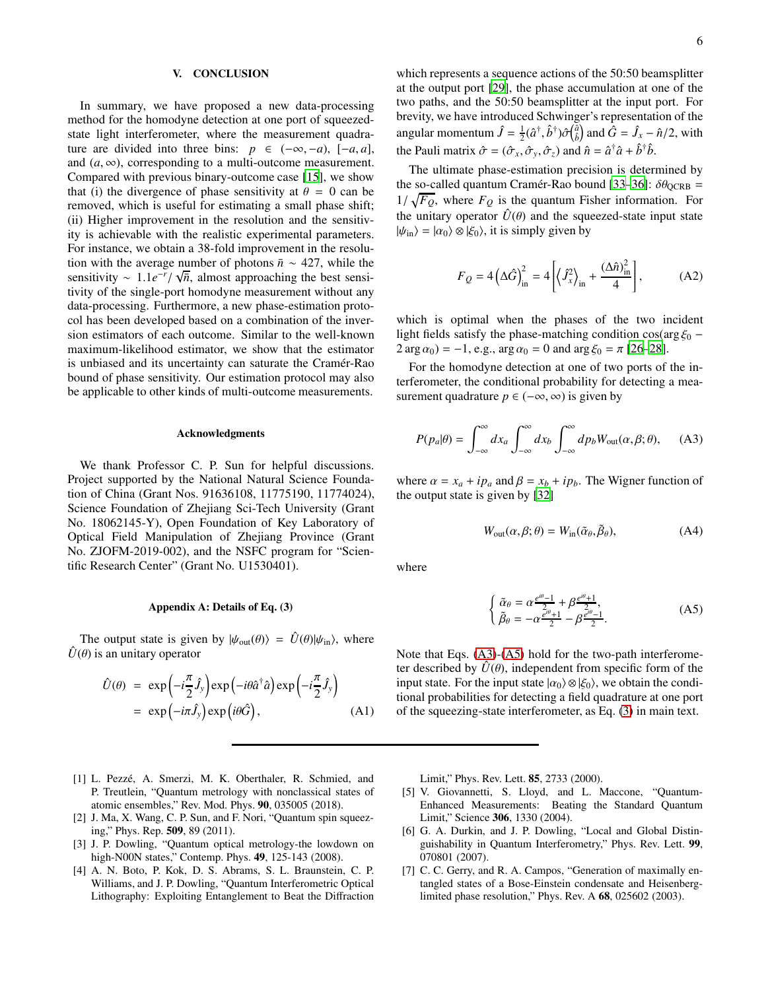#### V. CONCLUSION

In summary, we have proposed a new data-processing method for the homodyne detection at one port of squeezedstate light interferometer, where the measurement quadrature are divided into three bins:  $p \in (-\infty, -a)$ ,  $[-a, a]$ , and  $(a, \infty)$ , corresponding to a multi-outcome measurement. Compared with previous binary-outcome case [\[15](#page-6-6)], we show that (i) the divergence of phase sensitivity at  $\theta = 0$  can be removed, which is useful for estimating a small phase shift; (ii) Higher improvement in the resolution and the sensitivity is achievable with the realistic experimental parameters. For instance, we obtain a 38-fold improvement in the resolution with the average number of photons  $\bar{n} \sim 427$ , while the sensitivity ~ 1.1*e<sup>-r</sup>*/ √*n*<sup>π</sup>, almost approaching the best sensitivity of the single-port homodyne measurement without any data-processing. Furthermore, a new phase-estimation protocol has been developed based on a combination of the inversion estimators of each outcome. Similar to the well-known maximum-likelihood estimator, we show that the estimator is unbiased and its uncertainty can saturate the Cramér-Rao bound of phase sensitivity. Our estimation protocol may also be applicable to other kinds of multi-outcome measurements.

#### Acknowledgments

We thank Professor C. P. Sun for helpful discussions. Project supported by the National Natural Science Foundation of China (Grant Nos. 91636108, 11775190, 11774024), Science Foundation of Zhejiang Sci-Tech University (Grant No. 18062145-Y), Open Foundation of Key Laboratory of Optical Field Manipulation of Zhejiang Province (Grant No. ZJOFM-2019-002), and the NSFC program for "Scientific Research Center" (Grant No. U1530401).

#### Appendix A: Details of Eq. (3)

The output state is given by  $|\psi_{out}(\theta)\rangle = \hat{U}(\theta)|\psi_{in}\rangle$ , where  $\hat{U}(\theta)$  is an unitary operator

$$
\hat{U}(\theta) = \exp\left(-i\frac{\pi}{2}\hat{J}_y\right) \exp\left(-i\theta \hat{a}^\dagger \hat{a}\right) \exp\left(-i\frac{\pi}{2}\hat{J}_y\right) \n= \exp\left(-i\pi \hat{J}_y\right) \exp\left(i\theta \hat{G}\right), \tag{A1}
$$

which represents a sequence actions of the 50:50 beamsplitter at the output port [\[29\]](#page-6-18), the phase accumulation at one of the two paths, and the 50:50 beamsplitter at the input port. For brevity, we have introduced Schwinger's representation of the angular momentum  $\hat{J} = \frac{1}{2} (\hat{a}^\dagger, \hat{b}^\dagger) \hat{\sigma} (\hat{a}^\dagger)$  and  $\hat{G} = \hat{J}_x - \hat{n}/2$ , with the Pauli matrix  $\hat{\sigma} = (\hat{\sigma}_x, \hat{\sigma}_y, \hat{\sigma}_z)$  and  $\hat{n} = \hat{a}^\dagger \hat{a} + \hat{b}^\dagger \hat{b}$ .

The ultimate phase-estimation precision is determined by the so-called quantum Cramér-Rao bound [\[33](#page-6-21)[–36](#page-6-22)]:  $\delta\theta_{\text{QCRB}} =$  $1/\sqrt{F_Q}$ , where  $F_Q$  is the quantum Fisher information. For the unitary operator  $\hat{U}(\theta)$  and the squeezed-state input state  $|\psi_{\rm in}\rangle = |\alpha_0\rangle \otimes |\xi_0\rangle$ , it is simply given by

$$
F_Q = 4\left(\Delta \hat{G}\right)_{\text{in}}^2 = 4\left[\left\langle \hat{J}_x^2 \right\rangle_{\text{in}} + \frac{\left(\Delta \hat{n}\right)_{\text{in}}^2}{4}\right],\tag{A2}
$$

which is optimal when the phases of the two incident light fields satisfy the phase-matching condition  $\cos(\arg \xi_0 - \theta)$  $2 \arg \alpha_0 = -1$ , e.g.,  $\arg \alpha_0 = 0$  and  $\arg \xi_0 = \pi$  [\[26](#page-6-16)[–28](#page-6-17)].

For the homodyne detection at one of two ports of the interferometer, the conditional probability for detecting a measurement quadrature  $p \in (-\infty, \infty)$  is given by

<span id="page-5-6"></span>
$$
P(p_a|\theta) = \int_{-\infty}^{\infty} dx_a \int_{-\infty}^{\infty} dx_b \int_{-\infty}^{\infty} dp_b W_{\text{out}}(\alpha, \beta; \theta), \quad (A3)
$$

where  $\alpha = x_a + ip_a$  and  $\beta = x_b + ip_b$ . The Wigner function of the output state is given by [\[32\]](#page-6-20)

$$
W_{\text{out}}(\alpha, \beta; \theta) = W_{\text{in}}(\tilde{\alpha}_{\theta}, \tilde{\beta}_{\theta}), \tag{A4}
$$

where

<span id="page-5-7"></span>
$$
\begin{cases} \tilde{\alpha}_{\theta} = \alpha \frac{e^{i\theta} - 1}{2} + \beta \frac{e^{i\theta} + 1}{2}, \\ \tilde{\beta}_{\theta} = -\alpha \frac{e^{i\theta} + 1}{2} - \beta \frac{e^{i\theta} - 1}{2}. \end{cases}
$$
 (A5)

Note that Eqs. [\(A3\)](#page-5-6)-[\(A5\)](#page-5-7) hold for the two-path interferometer described by  $\hat{U}(\theta)$ , independent from specific form of the input state. For the input state  $|\alpha_0\rangle \otimes |\xi_0\rangle$ , we obtain the conditional probabilities for detecting a field quadrature at one port of the squeezing-state interferometer, as Eq. [\(3\)](#page-1-1) in main text.

- <span id="page-5-0"></span>[1] L. Pezzé, A. Smerzi, M. K. Oberthaler, R. Schmied, and P. Treutlein, "Quantum metrology with nonclassical states of atomic ensembles," Rev. Mod. Phys. 90, 035005 (2018).
- [2] J. Ma, X. Wang, C. P. Sun, and F. Nori, "Quantum spin squeezing," Phys. Rep. 509, 89 (2011).
- <span id="page-5-1"></span>[3] J. P. Dowling, "Quantum optical metrology-the lowdown on high-N00N states," Contemp. Phys. 49, 125-143 (2008).
- <span id="page-5-2"></span>[4] A. N. Boto, P. Kok, D. S. Abrams, S. L. Braunstein, C. P. Williams, and J. P. Dowling, "Quantum Interferometric Optical Lithography: Exploiting Entanglement to Beat the Diffraction

Limit," Phys. Rev. Lett. 85, 2733 (2000).

- <span id="page-5-3"></span>[5] V. Giovannetti, S. Lloyd, and L. Maccone, "Quantum-Enhanced Measurements: Beating the Standard Quantum Limit," Science 306, 1330 (2004).
- <span id="page-5-4"></span>[6] G. A. Durkin, and J. P. Dowling, "Local and Global Distinguishability in Quantum Interferometry," Phys. Rev. Lett. 99, 070801 (2007).
- <span id="page-5-5"></span>[7] C. C. Gerry, and R. A. Campos, "Generation of maximally entangled states of a Bose-Einstein condensate and Heisenberglimited phase resolution," Phys. Rev. A 68, 025602 (2003).